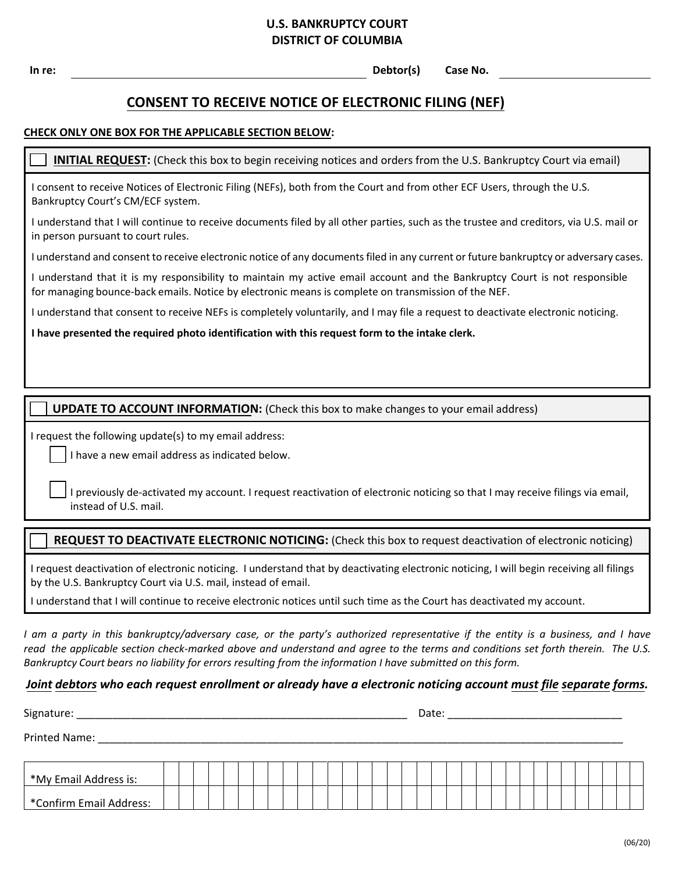# **U.S. BANKRUPTCY COURT DISTRICT OF COLUMBIA**

**In re: Debtor(s) Case No.**

# **CONSENT TO RECEIVE NOTICE OF ELECTRONIC FILING (NEF)**

#### **CHECK ONLY ONE BOX FOR THE APPLICABLE SECTION BELOW:**

#### **INITIAL REQUEST:** (Check this box to begin receiving notices and orders from the U.S. Bankruptcy Court via email)

I consent to receive Notices of Electronic Filing (NEFs), both from the Court and from other ECF Users, through the U.S. Bankruptcy Court's CM/ECF system.

I understand that I will continue to receive documents filed by all other parties, such as the trustee and creditors, via U.S. mail or in person pursuant to court rules.

I understand and consent to receive electronic notice of any documents filed in any current or future bankruptcy or adversary cases.

I understand that it is my responsibility to maintain my active email account and the Bankruptcy Court is not responsible for managing bounce-back emails. Notice by electronic means is complete on transmission of the NEF.

I understand that consent to receive NEFs is completely voluntarily, and I may file a request to deactivate electronic noticing.

**I have presented the required photo identification with this request form to the intake clerk.**

#### **UPDATE TO ACCOUNT INFORMATION:** (Check this box to make changes to your email address)

I request the following update(s) to my email address:

I have a new email address as indicated below.

I previously de-activated my account. I request reactivation of electronic noticing so that I may receive filings via email, instead of U.S. mail.

### **REQUEST TO DEACTIVATE ELECTRONIC NOTICING:** (Check this box to request deactivation of electronic noticing)

I request deactivation of electronic noticing. I understand that by deactivating electronic noticing, I will begin receiving all filings by the U.S. Bankruptcy Court via U.S. mail, instead of email.

I understand that I will continue to receive electronic notices until such time as the Court has deactivated my account.

*I am a party in this bankruptcy/adversary case, or the party's authorized representative if the entity is a business, and I have read the applicable section check-marked above and understand and agree to the terms and conditions set forth therein. The U.S. Bankruptcy Court bears no liability for errors resulting from the information I have submitted on this form.*

## *Joint debtors who each request enrollment or already have a electronic noticing account must file separate forms.*

|                                   |  |  |  |  |  |  |  |  |  |  |  |  |  | Date: |  |  |  |  |  |  |  |  |  |  |  |  |  |  |  |  |  |
|-----------------------------------|--|--|--|--|--|--|--|--|--|--|--|--|--|-------|--|--|--|--|--|--|--|--|--|--|--|--|--|--|--|--|--|
| Printed Name:                     |  |  |  |  |  |  |  |  |  |  |  |  |  |       |  |  |  |  |  |  |  |  |  |  |  |  |  |  |  |  |  |
|                                   |  |  |  |  |  |  |  |  |  |  |  |  |  |       |  |  |  |  |  |  |  |  |  |  |  |  |  |  |  |  |  |
| <sup>*</sup> My Email Address is: |  |  |  |  |  |  |  |  |  |  |  |  |  |       |  |  |  |  |  |  |  |  |  |  |  |  |  |  |  |  |  |
| *Confirm Email Address:           |  |  |  |  |  |  |  |  |  |  |  |  |  |       |  |  |  |  |  |  |  |  |  |  |  |  |  |  |  |  |  |